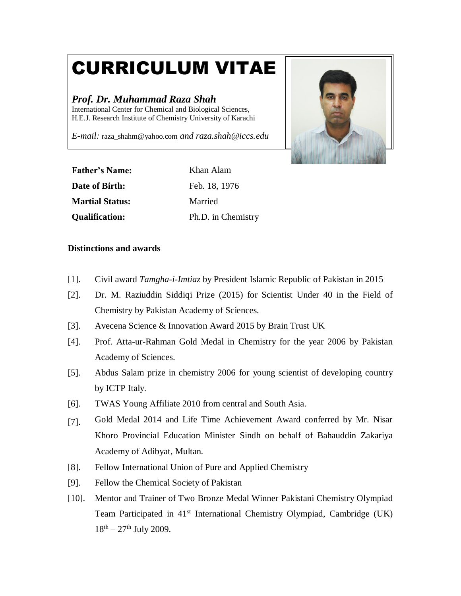# CURRICULUM VITAE

## *Prof. Dr. Muhammad Raza Shah*

International Center for Chemical and Biological Sciences, H.E.J. Research Institute of Chemistry University of Karachi

*E-mail:* [raza\\_shahm@yahoo.com](mailto:shah@mpip-mainz.mpg.de) *and raza.shah@iccs.edu*



| <b>Father's Name:</b>  | Khan Alam          |
|------------------------|--------------------|
| Date of Birth:         | Feb. 18, 1976      |
| <b>Martial Status:</b> | Married            |
| <b>Qualification:</b>  | Ph.D. in Chemistry |

## **Distinctions and awards**

- [1]. Civil award *Tamgha-i-Imtiaz* by President Islamic Republic of Pakistan in 2015
- [2]. Dr. M. Raziuddin Siddiqi Prize (2015) for Scientist Under 40 in the Field of Chemistry by Pakistan Academy of Sciences.
- [3]. Avecena Science & Innovation Award 2015 by Brain Trust UK
- [4]. Prof. Atta-ur-Rahman Gold Medal in Chemistry for the year 2006 by Pakistan Academy of Sciences.
- [5]. Abdus Salam prize in chemistry 2006 for young scientist of developing country by ICTP Italy.
- [6]. TWAS Young Affiliate 2010 from central and South Asia.
- [7]. Gold Medal 2014 and Life Time Achievement Award conferred by Mr. Nisar Khoro Provincial Education Minister Sindh on behalf of Bahauddin Zakariya Academy of Adibyat, Multan.
- [8]. Fellow International Union of Pure and Applied Chemistry
- [9]. Fellow the Chemical Society of Pakistan
- [10]. Mentor and Trainer of Two Bronze Medal Winner Pakistani Chemistry Olympiad Team Participated in 41<sup>st</sup> International Chemistry Olympiad, Cambridge (UK)  $18^{th} - 27^{th}$  July 2009.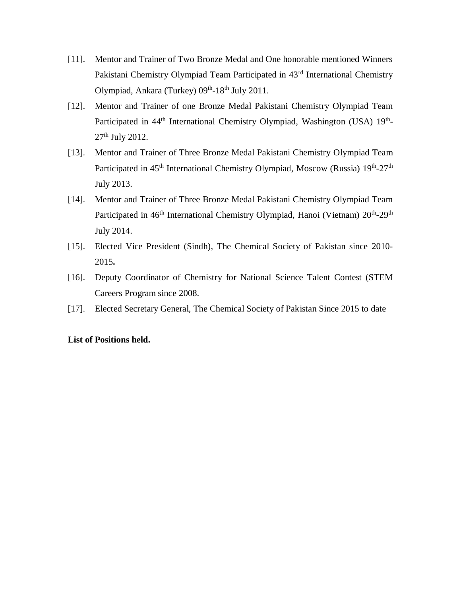- [11]. Mentor and Trainer of Two Bronze Medal and One honorable mentioned Winners Pakistani Chemistry Olympiad Team Participated in 43rd International Chemistry Olympiad, Ankara (Turkey) 09<sup>th</sup>-18<sup>th</sup> July 2011.
- [12]. Mentor and Trainer of one Bronze Medal Pakistani Chemistry Olympiad Team Participated in 44<sup>th</sup> International Chemistry Olympiad, Washington (USA) 19<sup>th</sup>-27<sup>th</sup> July 2012.
- [13]. Mentor and Trainer of Three Bronze Medal Pakistani Chemistry Olympiad Team Participated in 45<sup>th</sup> International Chemistry Olympiad, Moscow (Russia) 19<sup>th</sup>-27<sup>th</sup> July 2013.
- [14]. Mentor and Trainer of Three Bronze Medal Pakistani Chemistry Olympiad Team Participated in 46<sup>th</sup> International Chemistry Olympiad, Hanoi (Vietnam) 20<sup>th</sup>-29<sup>th</sup> July 2014.
- [15]. Elected Vice President (Sindh), The Chemical Society of Pakistan since 2010- 2015**.**
- [16]. Deputy Coordinator of Chemistry for National Science Talent Contest (STEM Careers Program since 2008.
- [17]. Elected Secretary General, The Chemical Society of Pakistan Since 2015 to date

## **List of Positions held.**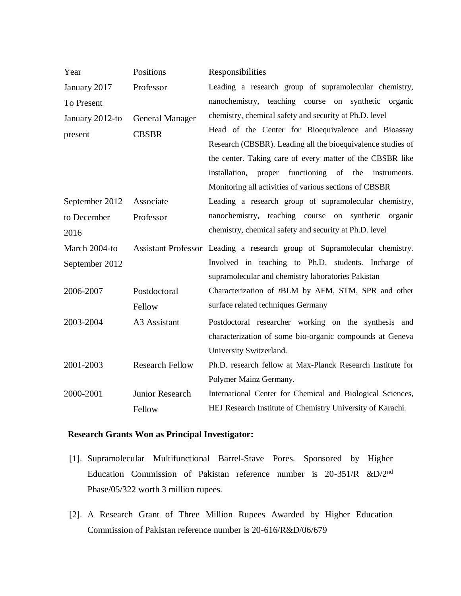| Year            | Positions              | Responsibilities                                                          |
|-----------------|------------------------|---------------------------------------------------------------------------|
| January 2017    | Professor              | Leading a research group of supramolecular chemistry,                     |
| To Present      |                        | nanochemistry, teaching course on synthetic organic                       |
| January 2012-to | <b>General Manager</b> | chemistry, chemical safety and security at Ph.D. level                    |
| present         | <b>CBSBR</b>           | Head of the Center for Bioequivalence and Bioassay                        |
|                 |                        | Research (CBSBR). Leading all the bioequivalence studies of               |
|                 |                        | the center. Taking care of every matter of the CBSBR like                 |
|                 |                        | functioning of the instruments.<br>proper<br>installation,                |
|                 |                        | Monitoring all activities of various sections of CBSBR                    |
| September 2012  | Associate              | Leading a research group of supramolecular chemistry,                     |
| to December     | Professor              | nanochemistry, teaching course on synthetic organic                       |
| 2016            |                        | chemistry, chemical safety and security at Ph.D. level                    |
|                 |                        |                                                                           |
| March 2004-to   |                        | Assistant Professor Leading a research group of Supramolecular chemistry. |
| September 2012  |                        | Involved in teaching to Ph.D. students. Incharge of                       |
|                 |                        | supramolecular and chemistry laboratories Pakistan                        |
| 2006-2007       | Postdoctoral           | Characterization of tBLM by AFM, STM, SPR and other                       |
|                 | Fellow                 | surface related techniques Germany                                        |
| 2003-2004       | A3 Assistant           | Postdoctoral researcher working on the synthesis and                      |
|                 |                        | characterization of some bio-organic compounds at Geneva                  |
|                 |                        | University Switzerland.                                                   |
| 2001-2003       | <b>Research Fellow</b> | Ph.D. research fellow at Max-Planck Research Institute for                |
|                 |                        | Polymer Mainz Germany.                                                    |
| 2000-2001       | Junior Research        | International Center for Chemical and Biological Sciences,                |

## **Research Grants Won as Principal Investigator:**

- [1]. Supramolecular Multifunctional Barrel-Stave Pores. Sponsored by Higher Education Commission of Pakistan reference number is 20-351/R &D/2nd Phase/05/322 worth 3 million rupees.
- [2]. A Research Grant of Three Million Rupees Awarded by Higher Education Commission of Pakistan reference number is 20-616/R&D/06/679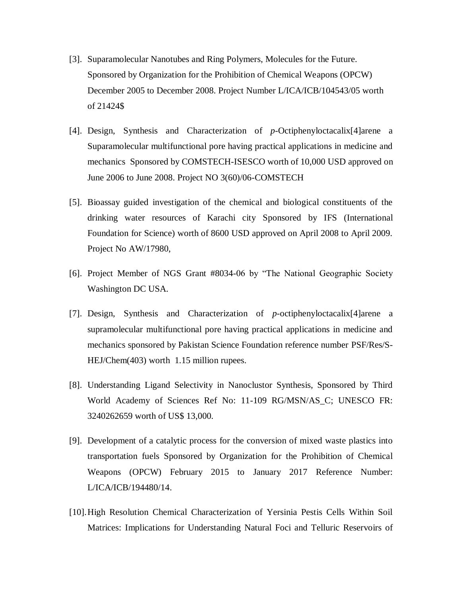- [3]. Suparamolecular Nanotubes and Ring Polymers, Molecules for the Future. Sponsored by Organization for the Prohibition of Chemical Weapons (OPCW) December 2005 to December 2008. Project Number L/ICA/ICB/104543/05 worth of 21424\$
- [4]. Design, Synthesis and Characterization of *p*-Octiphenyloctacalix[4]arene a Suparamolecular multifunctional pore having practical applications in medicine and mechanics Sponsored by COMSTECH-ISESCO worth of 10,000 USD approved on June 2006 to June 2008. Project NO 3(60)/06-COMSTECH
- [5]. Bioassay guided investigation of the chemical and biological constituents of the drinking water resources of Karachi city Sponsored by IFS (International Foundation for Science) worth of 8600 USD approved on April 2008 to April 2009. Project No AW/17980,
- [6]. Project Member of NGS Grant #8034-06 by "The National Geographic Society Washington DC USA.
- [7]. Design, Synthesis and Characterization of *p*-octiphenyloctacalix[4]arene a supramolecular multifunctional pore having practical applications in medicine and mechanics sponsored by Pakistan Science Foundation reference number PSF/Res/S-HEJ/Chem(403) worth 1.15 million rupees.
- [8]. Understanding Ligand Selectivity in Nanoclustor Synthesis, Sponsored by Third World Academy of Sciences Ref No: 11-109 RG/MSN/AS\_C; UNESCO FR: 3240262659 worth of US\$ 13,000.
- [9]. Development of a catalytic process for the conversion of mixed waste plastics into transportation fuels Sponsored by Organization for the Prohibition of Chemical Weapons (OPCW) February 2015 to January 2017 Reference Number: L/ICA/ICB/194480/14.
- [10].High Resolution Chemical Characterization of Yersinia Pestis Cells Within Soil Matrices: Implications for Understanding Natural Foci and Telluric Reservoirs of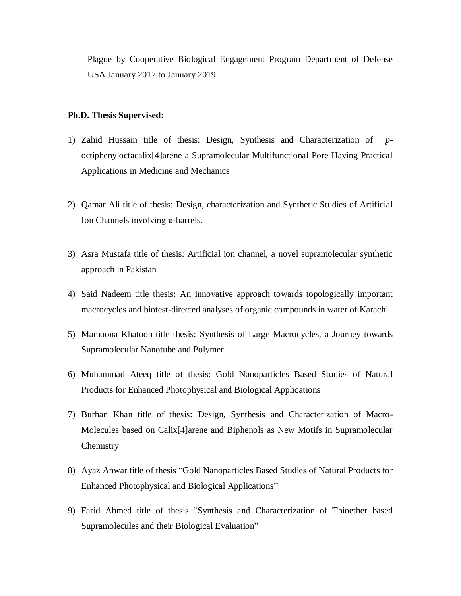Plague by Cooperative Biological Engagement Program Department of Defense USA January 2017 to January 2019.

#### **Ph.D. Thesis Supervised:**

- 1) Zahid Hussain title of thesis: Design, Synthesis and Characterization of *p*octiphenyloctacalix[4]arene a Supramolecular Multifunctional Pore Having Practical Applications in Medicine and Mechanics
- 2) Qamar Ali title of thesis: Design, characterization and Synthetic Studies of Artificial Ion Channels involving π-barrels.
- 3) Asra Mustafa title of thesis: Artificial ion channel, a novel supramolecular synthetic approach in Pakistan
- 4) Said Nadeem title thesis: An innovative approach towards topologically important macrocycles and biotest-directed analyses of organic compounds in water of Karachi
- 5) Mamoona Khatoon title thesis: Synthesis of Large Macrocycles, a Journey towards Supramolecular Nanotube and Polymer
- 6) Muhammad Ateeq title of thesis: Gold Nanoparticles Based Studies of Natural Products for Enhanced Photophysical and Biological Applications
- 7) Burhan Khan title of thesis: Design, Synthesis and Characterization of Macro-Molecules based on Calix[4]arene and Biphenols as New Motifs in Supramolecular **Chemistry**
- 8) Ayaz Anwar title of thesis "Gold Nanoparticles Based Studies of Natural Products for Enhanced Photophysical and Biological Applications"
- 9) Farid Ahmed title of thesis "Synthesis and Characterization of Thioether based Supramolecules and their Biological Evaluation"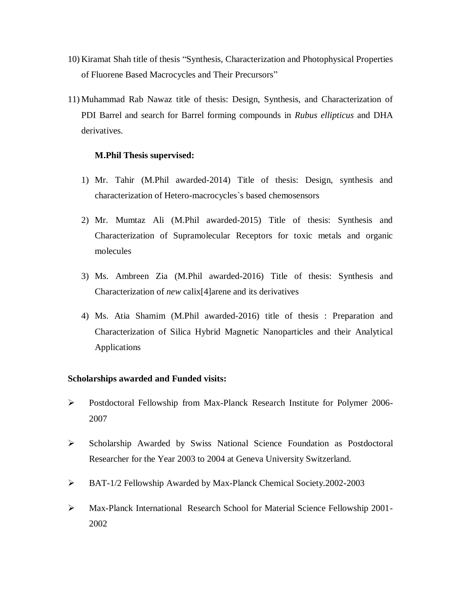- 10) Kiramat Shah title of thesis "Synthesis, Characterization and Photophysical Properties of Fluorene Based Macrocycles and Their Precursors"
- 11) Muhammad Rab Nawaz title of thesis: Design, Synthesis, and Characterization of PDI Barrel and search for Barrel forming compounds in *Rubus ellipticus* and DHA derivatives.

#### **M.Phil Thesis supervised:**

- 1) Mr. Tahir (M.Phil awarded-2014) Title of thesis: Design, synthesis and characterization of Hetero-macrocycles`s based chemosensors
- 2) Mr. Mumtaz Ali (M.Phil awarded-2015) Title of thesis: Synthesis and Characterization of Supramolecular Receptors for toxic metals and organic molecules
- 3) Ms. Ambreen Zia (M.Phil awarded-2016) Title of thesis: Synthesis and Characterization of *new* calix[4]arene and its derivatives
- 4) Ms. Atia Shamim (M.Phil awarded-2016) title of thesis : Preparation and Characterization of Silica Hybrid Magnetic Nanoparticles and their Analytical Applications

#### **Scholarships awarded and Funded visits:**

- Postdoctoral Fellowship from Max-Planck Research Institute for Polymer 2006- 2007
- $\triangleright$  Scholarship Awarded by Swiss National Science Foundation as Postdoctoral Researcher for the Year 2003 to 2004 at Geneva University Switzerland.
- BAT-1/2 Fellowship Awarded by Max-Planck Chemical Society.2002-2003
- Max-Planck International Research School for Material Science Fellowship 2001- 2002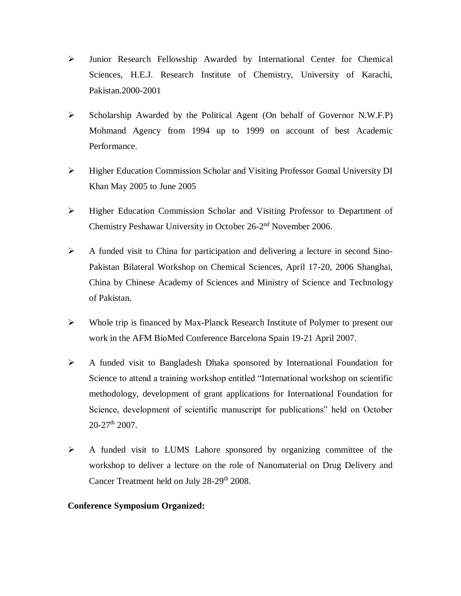- $\triangleright$  Junior Research Fellowship Awarded by International Center for Chemical Sciences, H.E.J. Research Institute of Chemistry, University of Karachi, Pakistan.2000-2001
- $\triangleright$  Scholarship Awarded by the Political Agent (On behalf of Governor N.W.F.P) Mohmand Agency from 1994 up to 1999 on account of best Academic Performance.
- Higher Education Commission Scholar and Visiting Professor Gomal University DI Khan May 2005 to June 2005
- Higher Education Commission Scholar and Visiting Professor to Department of Chemistry Peshawar University in October 26-2<sup>nd</sup> November 2006.
- A funded visit to China for participation and delivering a lecture in second Sino-Pakistan Bilateral Workshop on Chemical Sciences, April 17-20, 2006 Shanghai, China by Chinese Academy of Sciences and Ministry of Science and Technology of Pakistan.
- Whole trip is financed by Max-Planck Research Institute of Polymer to present our work in the AFM BioMed Conference Barcelona Spain 19-21 April 2007.
- A funded visit to Bangladesh Dhaka sponsored by International Foundation for Science to attend a training workshop entitled "International workshop on scientific methodology, development of grant applications for International Foundation for Science, development of scientific manuscript for publications" held on October  $20-27$ <sup>th</sup> 2007.
- A funded visit to LUMS Lahore sponsored by organizing committee of the workshop to deliver a lecture on the role of Nanomaterial on Drug Delivery and Cancer Treatment held on July 28-29<sup>th</sup> 2008.

## **Conference Symposium Organized:**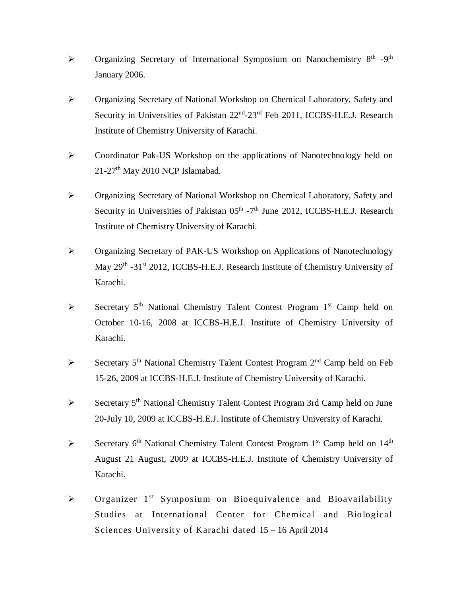- $\triangleright$  Organizing Secretary of International Symposium on Nanochemistry 8<sup>th</sup> -9<sup>th</sup> January 2006.
- Organizing Secretary of National Workshop on Chemical Laboratory, Safety and Security in Universities of Pakistan 22<sup>nd</sup>-23<sup>rd</sup> Feb 2011, ICCBS-H.E.J. Research Institute of Chemistry University of Karachi.
- Coordinator Pak-US Workshop on the applications of Nanotechnology held on 21-27<sup>th</sup> May 2010 NCP Islamabad.
- Organizing Secretary of National Workshop on Chemical Laboratory, Safety and Security in Universities of Pakistan  $05<sup>th</sup>$  -7<sup>th</sup> June 2012, ICCBS-H.E.J. Research Institute of Chemistry University of Karachi.
- Organizing Secretary of PAK-US Workshop on Applications of Nanotechnology May 29<sup>th</sup> -31<sup>st</sup> 2012, ICCBS-H.E.J. Research Institute of Chemistry University of Karachi.
- Secretary  $5<sup>th</sup>$  National Chemistry Talent Contest Program  $1<sup>st</sup>$  Camp held on October 10-16, 2008 at ICCBS-H.E.J. Institute of Chemistry University of Karachi.
- Secretary  $5<sup>th</sup>$  National Chemistry Talent Contest Program  $2<sup>nd</sup>$  Camp held on Feb 15-26, 2009 at ICCBS-H.E.J. Institute of Chemistry University of Karachi.
- $\triangleright$  Secretary 5<sup>th</sup> National Chemistry Talent Contest Program 3rd Camp held on June 20-July 10, 2009 at ICCBS-H.E.J. Institute of Chemistry University of Karachi.
- Secretary  $6<sup>th</sup>$  National Chemistry Talent Contest Program  $1<sup>st</sup>$  Camp held on  $14<sup>th</sup>$ August 21 August, 2009 at ICCBS-H.E.J. Institute of Chemistry University of Karachi.
- $\triangleright$  Organizer 1<sup>st</sup> Symposium on Bioequivalence and Bioavailability Studies at International Center for Chemical and Biological Sciences University of Karachi dated 15 – 16 April 2014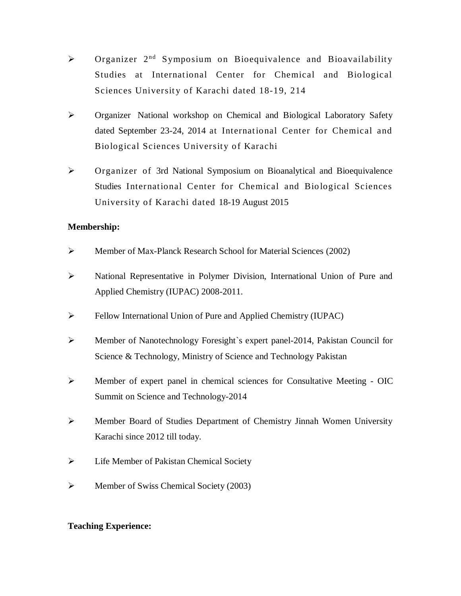- $\triangleright$  Organizer  $2^{nd}$  Symposium on Bioequivalence and Bioavailability Studies at International Center for Chemical and Biological Sciences University of Karachi dated 18-19, 214
- Organizer National workshop on Chemical and Biological Laboratory Safety dated September 23-24, 2014 at International Center for Chemical and Biological Sciences University of Karachi
- Organizer of 3rd National Symposium on Bioanalytical and Bioequivalence Studies International Center for Chemical and Biological Sciences University of Karachi dated 18-19 August 2015

## **Membership:**

- Member of Max-Planck Research School for Material Sciences (2002)
- National Representative in Polymer Division, International Union of Pure and Applied Chemistry (IUPAC) 2008-2011.
- Fellow International Union of Pure and Applied Chemistry (IUPAC)
- Member of Nanotechnology Foresight`s expert panel-2014, Pakistan Council for Science & Technology, Ministry of Science and Technology Pakistan
- Member of expert panel in chemical sciences for Consultative Meeting OIC Summit on Science and Technology-2014
- Member Board of Studies Department of Chemistry Jinnah Women University Karachi since 2012 till today.
- Life Member of Pakistan Chemical Society
- $\triangleright$  Member of Swiss Chemical Society (2003)

## **Teaching Experience:**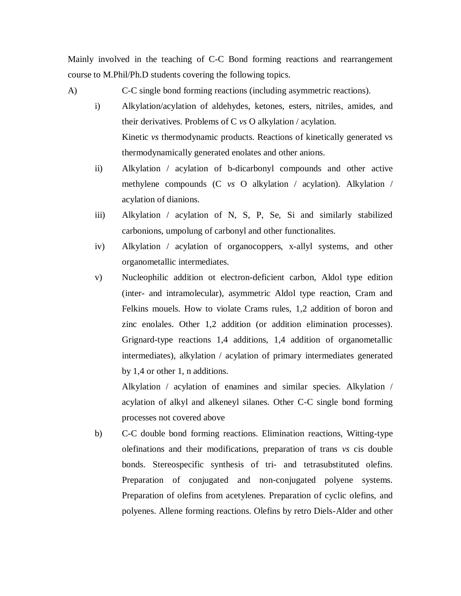Mainly involved in the teaching of C-C Bond forming reactions and rearrangement course to M.Phil/Ph.D students covering the following topics.

A) C-C single bond forming reactions (including asymmetric reactions).

- i) Alkylation/acylation of aldehydes, ketones, esters, nitriles, amides, and their derivatives. Problems of C *vs* O alkylation / acylation. Kinetic *vs* thermodynamic products. Reactions of kinetically generated vs thermodynamically generated enolates and other anions.
- ii) Alkylation / acylation of b-dicarbonyl compounds and other active methylene compounds (C *vs* O alkylation / acylation). Alkylation / acylation of dianions.
- iii) Alkylation / acylation of N, S, P, Se, Si and similarly stabilized carbonions, umpolung of carbonyl and other functionalites.
- iv) Alkylation / acylation of organocoppers, x-allyl systems, and other organometallic intermediates.
- v) Nucleophilic addition ot electron-deficient carbon, Aldol type edition (inter- and intramolecular), asymmetric Aldol type reaction, Cram and Felkins mouels. How to violate Crams rules, 1,2 addition of boron and zinc enolales. Other 1,2 addition (or addition elimination processes). Grignard-type reactions 1,4 additions, 1,4 addition of organometallic intermediates), alkylation / acylation of primary intermediates generated by 1,4 or other 1, n additions.

Alkylation / acylation of enamines and similar species. Alkylation / acylation of alkyl and alkeneyl silanes. Other C-C single bond forming processes not covered above

b) C-C double bond forming reactions. Elimination reactions, Witting-type olefinations and their modifications, preparation of trans *vs* cis double bonds. Stereospecific synthesis of tri- and tetrasubstituted olefins. Preparation of conjugated and non-conjugated polyene systems. Preparation of olefins from acetylenes. Preparation of cyclic olefins, and polyenes. Allene forming reactions. Olefins by retro Diels-Alder and other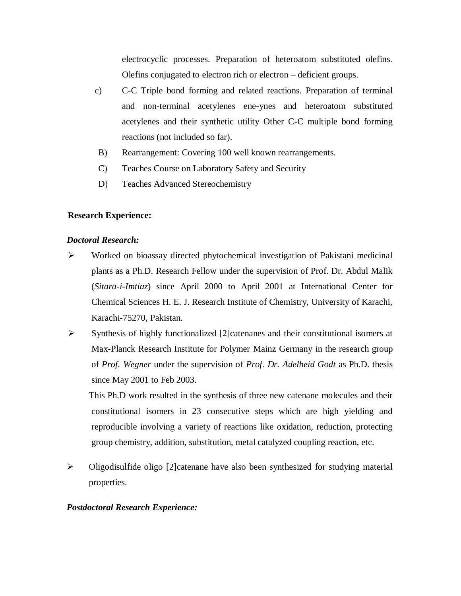electrocyclic processes. Preparation of heteroatom substituted olefins. Olefins conjugated to electron rich or electron – deficient groups.

- c) C-C Triple bond forming and related reactions. Preparation of terminal and non-terminal acetylenes ene-ynes and heteroatom substituted acetylenes and their synthetic utility Other C-C multiple bond forming reactions (not included so far).
- B) Rearrangement: Covering 100 well known rearrangements.
- C) Teaches Course on Laboratory Safety and Security
- D) Teaches Advanced Stereochemistry

## **Research Experience:**

#### *Doctoral Research:*

- Worked on bioassay directed phytochemical investigation of Pakistani medicinal plants as a Ph.D. Research Fellow under the supervision of Prof. Dr. Abdul Malik (*Sitara-i-Imtiaz*) since April 2000 to April 2001 at International Center for Chemical Sciences H. E. J. Research Institute of Chemistry, University of Karachi, Karachi-75270, Pakistan.
- $\triangleright$  Synthesis of highly functionalized [2] catenanes and their constitutional isomers at Max-Planck Research Institute for Polymer Mainz Germany in the research group of *Prof. Wegner* under the supervision of *Prof. Dr. Adelheid Godt* as Ph.D. thesis since May 2001 to Feb 2003.

This Ph.D work resulted in the synthesis of three new catenane molecules and their constitutional isomers in 23 consecutive steps which are high yielding and reproducible involving a variety of reactions like oxidation, reduction, protecting group chemistry, addition, substitution, metal catalyzed coupling reaction, etc.

 Oligodisulfide oligo [2]catenane have also been synthesized for studying material properties.

#### *Postdoctoral Research Experience:*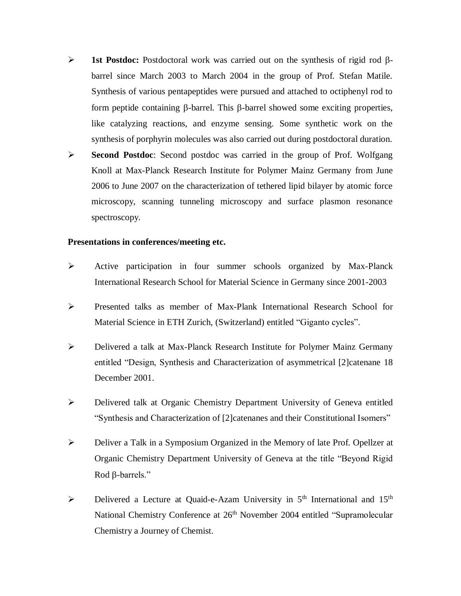- $\triangleright$  **1st Postdoc:** Postdoctoral work was carried out on the synthesis of rigid rod  $\beta$ barrel since March 2003 to March 2004 in the group of Prof. Stefan Matile. Synthesis of various pentapeptides were pursued and attached to octiphenyl rod to form peptide containing  $\beta$ -barrel. This  $\beta$ -barrel showed some exciting properties, like catalyzing reactions, and enzyme sensing. Some synthetic work on the synthesis of porphyrin molecules was also carried out during postdoctoral duration.
- **Second Postdoc**: Second postdoc was carried in the group of Prof. Wolfgang Knoll at Max-Planck Research Institute for Polymer Mainz Germany from June 2006 to June 2007 on the characterization of tethered lipid bilayer by atomic force microscopy, scanning tunneling microscopy and surface plasmon resonance spectroscopy.

#### **Presentations in conferences/meeting etc.**

- Active participation in four summer schools organized by Max-Planck International Research School for Material Science in Germany since 2001-2003
- Presented talks as member of Max-Plank International Research School for Material Science in ETH Zurich, (Switzerland) entitled "Giganto cycles".
- Delivered a talk at Max-Planck Research Institute for Polymer Mainz Germany entitled "Design, Synthesis and Characterization of asymmetrical [2]catenane 18 December 2001.
- Delivered talk at Organic Chemistry Department University of Geneva entitled "Synthesis and Characterization of [2]catenanes and their Constitutional Isomers"
- Deliver a Talk in a Symposium Organized in the Memory of late Prof. Opellzer at Organic Chemistry Department University of Geneva at the title "Beyond Rigid Rod  $\beta$ -barrels."
- $\triangleright$  Delivered a Lecture at Quaid-e-Azam University in 5<sup>th</sup> International and 15<sup>th</sup> National Chemistry Conference at 26<sup>th</sup> November 2004 entitled "Supramolecular Chemistry a Journey of Chemist.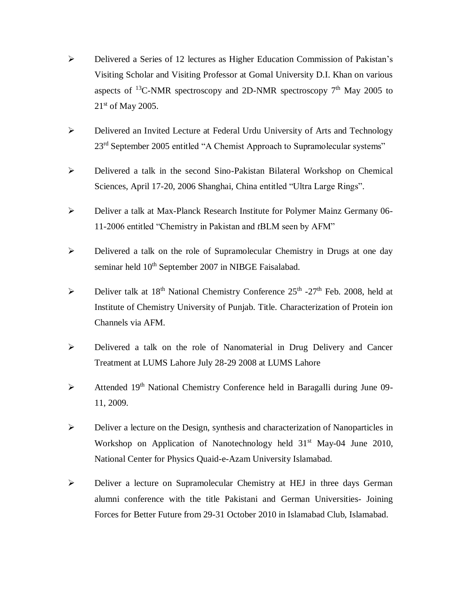- Delivered a Series of 12 lectures as Higher Education Commission of Pakistan's Visiting Scholar and Visiting Professor at Gomal University D.I. Khan on various aspects of <sup>13</sup>C-NMR spectroscopy and 2D-NMR spectroscopy  $7<sup>th</sup>$  May 2005 to 21<sup>st</sup> of May 2005.
- Delivered an Invited Lecture at Federal Urdu University of Arts and Technology 23<sup>rd</sup> September 2005 entitled "A Chemist Approach to Supramolecular systems"
- Delivered a talk in the second Sino-Pakistan Bilateral Workshop on Chemical Sciences, April 17-20, 2006 Shanghai, China entitled "Ultra Large Rings".
- Deliver a talk at Max-Planck Research Institute for Polymer Mainz Germany 06- 11-2006 entitled "Chemistry in Pakistan and *t*BLM seen by AFM"
- Delivered a talk on the role of Supramolecular Chemistry in Drugs at one day seminar held  $10^{th}$  September 2007 in NIBGE Faisalabad.
- $\triangleright$  Deliver talk at 18<sup>th</sup> National Chemistry Conference 25<sup>th</sup> -27<sup>th</sup> Feb. 2008, held at Institute of Chemistry University of Punjab. Title. Characterization of Protein ion Channels via AFM.
- Delivered a talk on the role of Nanomaterial in Drug Delivery and Cancer Treatment at LUMS Lahore July 28-29 2008 at LUMS Lahore
- $\triangleright$  Attended 19<sup>th</sup> National Chemistry Conference held in Baragalli during June 09-11, 2009.
- $\triangleright$  Deliver a lecture on the Design, synthesis and characterization of Nanoparticles in Workshop on Application of Nanotechnology held  $31<sup>st</sup>$  May-04 June 2010, National Center for Physics Quaid-e-Azam University Islamabad.
- Deliver a lecture on Supramolecular Chemistry at HEJ in three days German alumni conference with the title Pakistani and German Universities- Joining Forces for Better Future from 29-31 October 2010 in Islamabad Club, Islamabad.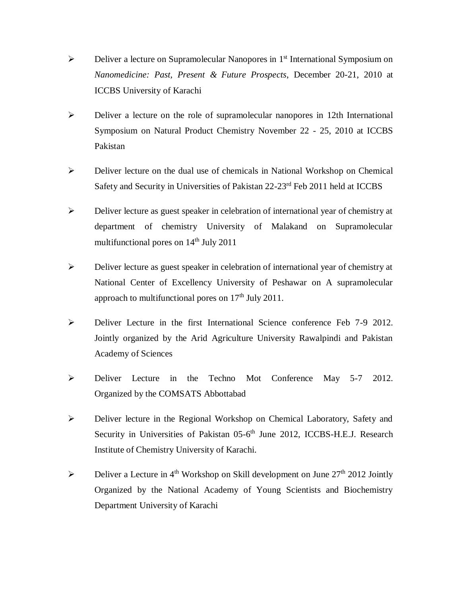- ▶ Deliver a lecture on Supramolecular Nanopores in 1<sup>st</sup> International Symposium on *Nanomedicine: Past, Present & Future Prospects*, December 20-21, 2010 at ICCBS University of Karachi
- $\triangleright$  Deliver a lecture on the role of supramolecular nanopores in 12th International Symposium on Natural Product Chemistry November 22 - 25, 2010 at ICCBS Pakistan
- Deliver lecture on the dual use of chemicals in National Workshop on Chemical Safety and Security in Universities of Pakistan 22-23rd Feb 2011 held at ICCBS
- Deliver lecture as guest speaker in celebration of international year of chemistry at department of chemistry University of Malakand on Supramolecular multifunctional pores on  $14<sup>th</sup>$  July 2011
- Deliver lecture as guest speaker in celebration of international year of chemistry at National Center of Excellency University of Peshawar on A supramolecular approach to multifunctional pores on  $17<sup>th</sup>$  July 2011.
- Deliver Lecture in the first International Science conference Feb 7-9 2012. Jointly organized by the Arid Agriculture University Rawalpindi and Pakistan Academy of Sciences
- Deliver Lecture in the Techno Mot Conference May 5-7 2012. Organized by the COMSATS Abbottabad
- Deliver lecture in the Regional Workshop on Chemical Laboratory, Safety and Security in Universities of Pakistan 05-6<sup>th</sup> June 2012, ICCBS-H.E.J. Research Institute of Chemistry University of Karachi.
- $\triangleright$  Deliver a Lecture in 4<sup>th</sup> Workshop on Skill development on June 27<sup>th</sup> 2012 Jointly Organized by the National Academy of Young Scientists and Biochemistry Department University of Karachi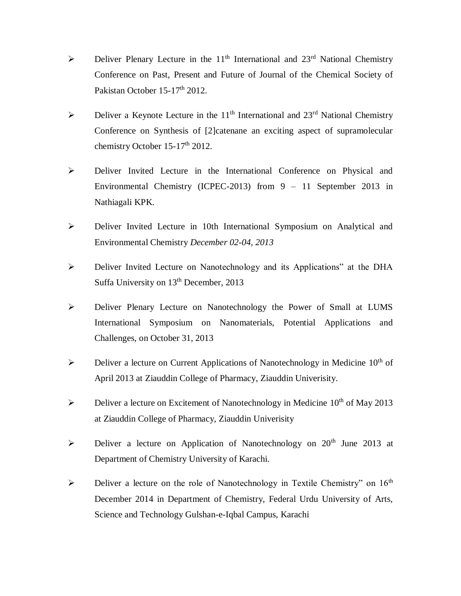- $\triangleright$  Deliver Plenary Lecture in the 11<sup>th</sup> International and 23<sup>rd</sup> National Chemistry Conference on Past, Present and Future of Journal of the Chemical Society of Pakistan October 15-17<sup>th</sup> 2012.
- $\triangleright$  Deliver a Keynote Lecture in the 11<sup>th</sup> International and 23<sup>rd</sup> National Chemistry Conference on Synthesis of [2]catenane an exciting aspect of supramolecular chemistry October 15-17<sup>th</sup> 2012.
- Deliver Invited Lecture in the International Conference on Physical and Environmental Chemistry (ICPEC-2013) from 9 – 11 September 2013 in Nathiagali KPK.
- Deliver Invited Lecture in 10th International Symposium on Analytical and Environmental Chemistry *December 02-04, 2013*
- Deliver Invited Lecture on Nanotechnology and its Applications" at the DHA Suffa University on  $13<sup>th</sup>$  December, 2013
- Deliver Plenary Lecture on Nanotechnology the Power of Small at LUMS International Symposium on Nanomaterials, Potential Applications and Challenges, on October 31, 2013
- $\triangleright$  Deliver a lecture on Current Applications of Nanotechnology in Medicine 10<sup>th</sup> of April 2013 at Ziauddin College of Pharmacy, Ziauddin Univerisity.
- $\triangleright$  Deliver a lecture on Excitement of Nanotechnology in Medicine 10<sup>th</sup> of May 2013 at Ziauddin College of Pharmacy, Ziauddin Univerisity
- $\triangleright$  Deliver a lecture on Application of Nanotechnology on 20<sup>th</sup> June 2013 at Department of Chemistry University of Karachi.
- $\triangleright$  Deliver a lecture on the role of Nanotechnology in Textile Chemistry" on 16<sup>th</sup> December 2014 in Department of Chemistry, Federal Urdu University of Arts, Science and Technology Gulshan-e-Iqbal Campus, Karachi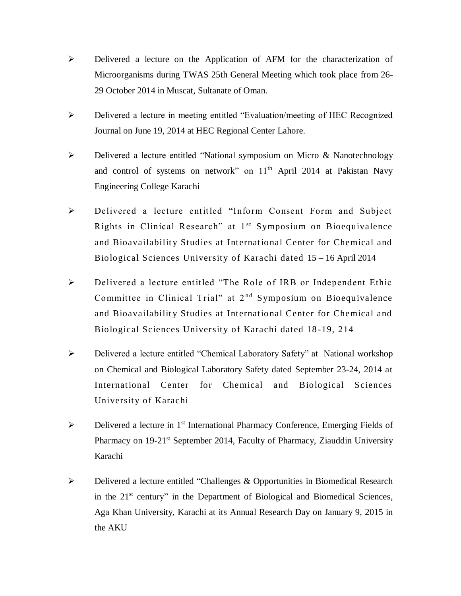- Delivered a lecture on the Application of AFM for the characterization of Microorganisms during TWAS 25th General Meeting which took place from 26- 29 October 2014 in Muscat, Sultanate of Oman.
- Delivered a lecture in meeting entitled "Evaluation/meeting of HEC Recognized Journal on June 19, 2014 at HEC Regional Center Lahore.
- Delivered a lecture entitled "National symposium on Micro & Nanotechnology and control of systems on network" on  $11<sup>th</sup>$  April 2014 at Pakistan Navy Engineering College Karachi
- Delivered a lecture entitled "Inform Consent Form and Subject Rights in Clinical Research" at  $1<sup>st</sup>$  Symposium on Bioequivalence and Bioavailability Studies at International Center for Chemical and Biological Sciences University of Karachi dated 15 – 16 April 2014
- Delivered a lecture entitled "The Role of IRB or Independent Ethic Committee in Clinical Trial" at  $2<sup>nd</sup>$  Symposium on Bioequivalence and Bioavailability Studies at International Center for Chemical and Biological Sciences University of Karachi dated 18 -19, 214
- Delivered a lecture entitled "Chemical Laboratory Safety" at National workshop on Chemical and Biological Laboratory Safety dated September 23-24, 2014 at International Center for Chemical and Biological Sciences University of Karachi
- $\triangleright$  Delivered a lecture in 1<sup>st</sup> International Pharmacy Conference, Emerging Fields of Pharmacy on 19-21<sup>st</sup> September 2014, Faculty of Pharmacy, Ziauddin University Karachi
- Delivered a lecture entitled "Challenges & Opportunities in Biomedical Research in the 21<sup>st</sup> century" in the Department of Biological and Biomedical Sciences, Aga Khan University, Karachi at its Annual Research Day on January 9, 2015 in the AKU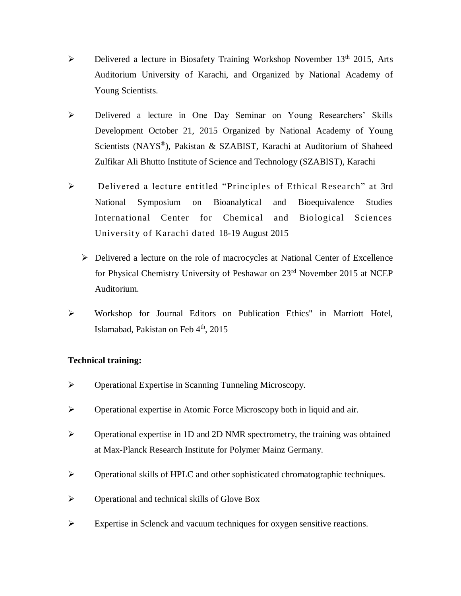- $\triangleright$  Delivered a lecture in Biosafety Training Workshop November 13<sup>th</sup> 2015, Arts Auditorium University of Karachi, and Organized by National Academy of Young Scientists.
- Delivered a lecture in One Day Seminar on Young Researchers' Skills Development October 21, 2015 Organized by National Academy of Young Scientists (NAYS® ), Pakistan & SZABIST, Karachi at Auditorium of Shaheed Zulfikar Ali Bhutto Institute of Science and Technology (SZABIST), Karachi
- Delivered a lecture entitled "Principles of Ethical Research" at 3rd National Symposium on Bioanalytical and Bioequivalence Studies International Center for Chemical and Biological Sciences University of Karachi dated 18-19 August 2015
	- $\triangleright$  Delivered a lecture on the role of macrocycles at National Center of Excellence for Physical Chemistry University of Peshawar on 23rd November 2015 at NCEP Auditorium.
- Workshop for Journal Editors on Publication Ethics" in Marriott Hotel, Islamabad, Pakistan on Feb 4<sup>th</sup>, 2015

## **Technical training:**

- Operational Expertise in Scanning Tunneling Microscopy.
- Operational expertise in Atomic Force Microscopy both in liquid and air.
- Operational expertise in 1D and 2D NMR spectrometry, the training was obtained at Max-Planck Research Institute for Polymer Mainz Germany.
- Operational skills of HPLC and other sophisticated chromatographic techniques.
- $\triangleright$  Operational and technical skills of Glove Box
- Expertise in Sclenck and vacuum techniques for oxygen sensitive reactions.